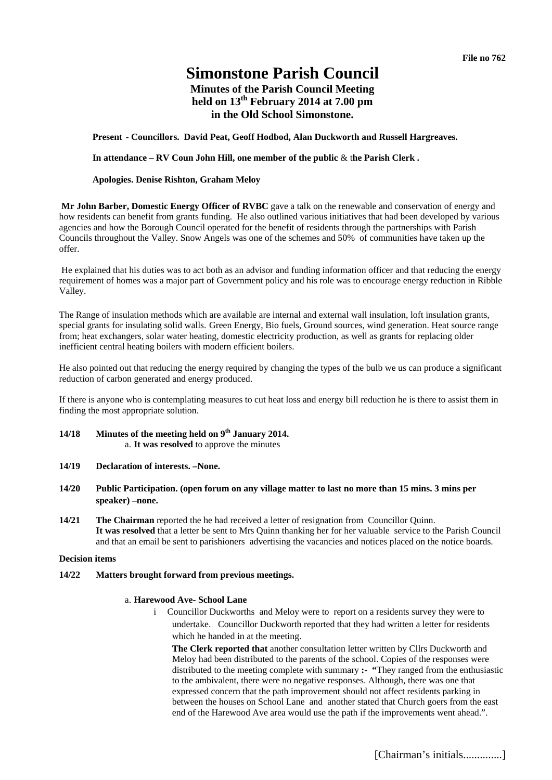# **Simonstone Parish Council**

# **Minutes of the Parish Council Meeting**  held on 13<sup>th</sup> February 2014 at 7.00 pm **in the Old School Simonstone.**

**Present - Councillors. David Peat, Geoff Hodbod, Alan Duckworth and Russell Hargreaves.** 

**In attendance – RV Coun John Hill, one member of the public** & t**he Parish Clerk .** 

#### **Apologies. Denise Rishton, Graham Meloy**

 **Mr John Barber, Domestic Energy Officer of RVBC** gave a talk on the renewable and conservation of energy and how residents can benefit from grants funding. He also outlined various initiatives that had been developed by various agencies and how the Borough Council operated for the benefit of residents through the partnerships with Parish Councils throughout the Valley. Snow Angels was one of the schemes and 50% of communities have taken up the offer.

 He explained that his duties was to act both as an advisor and funding information officer and that reducing the energy requirement of homes was a major part of Government policy and his role was to encourage energy reduction in Ribble Valley.

The Range of insulation methods which are available are internal and external wall insulation, loft insulation grants, special grants for insulating solid walls. Green Energy, Bio fuels, Ground sources, wind generation. Heat source range from; heat exchangers, solar water heating, domestic electricity production, as well as grants for replacing older inefficient central heating boilers with modern efficient boilers.

He also pointed out that reducing the energy required by changing the types of the bulb we us can produce a significant reduction of carbon generated and energy produced.

If there is anyone who is contemplating measures to cut heat loss and energy bill reduction he is there to assist them in finding the most appropriate solution.

- **14/18 Minutes of the meeting held on 9th January 2014.**  a. **It was resolved** to approve the minutes
- **14/19 Declaration of interests. –None.**
- **14/20 Public Participation. (open forum on any village matter to last no more than 15 mins. 3 mins per speaker) –none.**
- **14/21 The Chairman** reported the he had received a letter of resignation from Councillor Quinn. **It was resolved** that a letter be sent to Mrs Quinn thanking her for her valuable service to the Parish Council and that an email be sent to parishioners advertising the vacancies and notices placed on the notice boards.

#### **Decision items**

**14/22 Matters brought forward from previous meetings.** 

#### a. **Harewood Ave- School Lane**

i Councillor Duckworths and Meloy were to report on a residents survey they were to undertake. Councillor Duckworth reported that they had written a letter for residents which he handed in at the meeting.

**The Clerk reported that** another consultation letter written by Cllrs Duckworth and Meloy had been distributed to the parents of the school. Copies of the responses were distributed to the meeting complete with summary **:- "**They ranged from the enthusiastic to the ambivalent, there were no negative responses. Although, there was one that expressed concern that the path improvement should not affect residents parking in between the houses on School Lane and another stated that Church goers from the east end of the Harewood Ave area would use the path if the improvements went ahead.".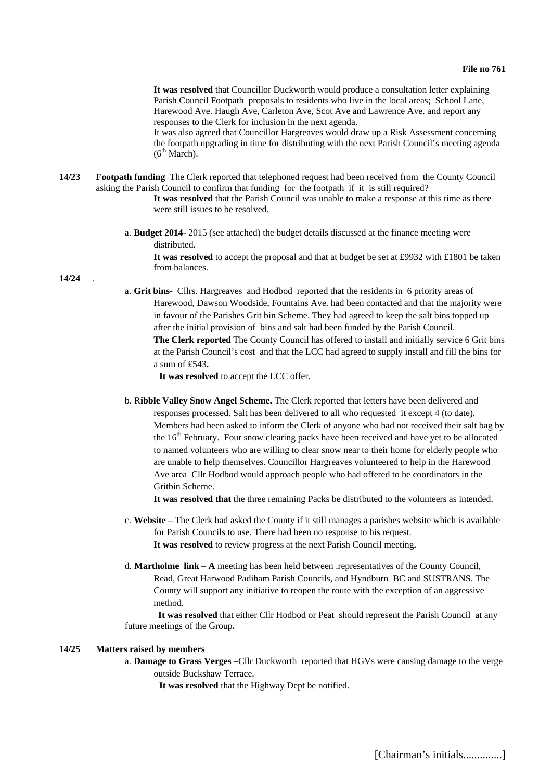**It was resolved** that Councillor Duckworth would produce a consultation letter explaining Parish Council Footpath proposals to residents who live in the local areas; School Lane, Harewood Ave. Haugh Ave, Carleton Ave, Scot Ave and Lawrence Ave. and report any responses to the Clerk for inclusion in the next agenda.

It was also agreed that Councillor Hargreaves would draw up a Risk Assessment concerning the footpath upgrading in time for distributing with the next Parish Council's meeting agenda  $(6<sup>th</sup> March)$ .

- **14/23 Footpath funding** The Clerk reported that telephoned request had been received from the County Council asking the Parish Council to confirm that funding for the footpath if it is still required? **It was resolved** that the Parish Council was unable to make a response at this time as there were still issues to be resolved.
	- a. **Budget 2014-** 2015 (see attached) the budget details discussed at the finance meeting were distributed.

**It was resolved** to accept the proposal and that at budget be set at £9932 with £1801 be taken from balances.

**14/24** .

a. **Grit bins-** Cllrs. Hargreaves and Hodbod reported that the residents in 6 priority areas of Harewood, Dawson Woodside, Fountains Ave. had been contacted and that the majority were in favour of the Parishes Grit bin Scheme. They had agreed to keep the salt bins topped up after the initial provision of bins and salt had been funded by the Parish Council. **The Clerk reported** The County Council has offered to install and initially service 6 Grit bins at the Parish Council's cost and that the LCC had agreed to supply install and fill the bins for a sum of £543**.** 

 **It was resolved** to accept the LCC offer.

b. R**ibble Valley Snow Angel Scheme.** The Clerk reported that letters have been delivered and responses processed. Salt has been delivered to all who requested it except 4 (to date). Members had been asked to inform the Clerk of anyone who had not received their salt bag by the 16<sup>th</sup> February. Four snow clearing packs have been received and have yet to be allocated to named volunteers who are willing to clear snow near to their home for elderly people who are unable to help themselves. Councillor Hargreaves volunteered to help in the Harewood Ave area Cllr Hodbod would approach people who had offered to be coordinators in the Gritbin Scheme.

**It was resolved that** the three remaining Packs be distributed to the volunteers as intended.

- c. **Website** The Clerk had asked the County if it still manages a parishes website which is available for Parish Councils to use. There had been no response to his request. **It was resolved** to review progress at the next Parish Council meeting**.**
- d. **Martholme link A** meeting has been held between .representatives of the County Council, Read, Great Harwood Padiham Parish Councils, and Hyndburn BC and SUSTRANS. The County will support any initiative to reopen the route with the exception of an aggressive method.

**It was resolved** that either Cllr Hodbod or Peat should represent the Parish Council at any future meetings of the Group**.** 

### **14/25 Matters raised by members**

a. **Damage to Grass Verges –**Cllr Duckworth reported that HGVs were causing damage to the verge outside Buckshaw Terrace.

**It was resolved** that the Highway Dept be notified.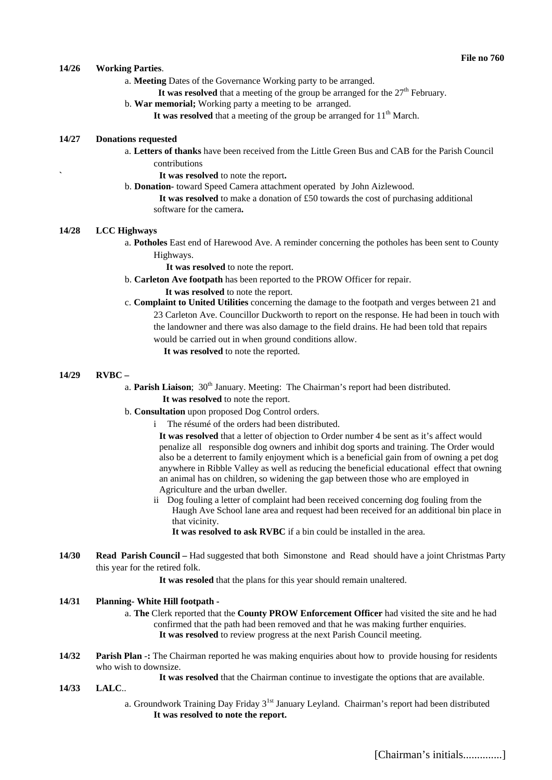#### **14/26 Working Parties**.

- a. **Meeting** Dates of the Governance Working party to be arranged.
	- It was resolved that a meeting of the group be arranged for the  $27<sup>th</sup>$  February.
- b. **War memorial;** Working party a meeting to be arranged.
	- It was resolved that a meeting of the group be arranged for  $11<sup>th</sup>$  March.

# **14/27 Donations requested**

- a. **Letters of thanks** have been received from the Little Green Bus and CAB for the Parish Council contributions
	- **` It was resolved** to note the report**.**
- b. **Donation-** toward Speed Camera attachment operated by John Aizlewood.
	- **It was resolved** to make a donation of £50 towards the cost of purchasing additional software for the camera**.**

#### **14/28 LCC Highways**

a. **Potholes** East end of Harewood Ave. A reminder concerning the potholes has been sent to County Highways.

 **It was resolved** to note the report.

b. **Carleton Ave footpath** has been reported to the PROW Officer for repair.

 **It was resolved** to note the report.

- c. **Complaint to United Utilities** concerning the damage to the footpath and verges between 21 and 23 Carleton Ave. Councillor Duckworth to report on the response. He had been in touch with the landowner and there was also damage to the field drains. He had been told that repairs would be carried out in when ground conditions allow.
	- **It was resolved** to note the reported.

#### **14/29 RVBC –**

- a. **Parish Liaison**; 30<sup>th</sup> January. Meeting: The Chairman's report had been distributed. **It was resolved** to note the report.
- b. **Consultation** upon proposed Dog Control orders.
	- i The résumé of the orders had been distributed.

**It was resolved** that a letter of objection to Order number 4 be sent as it's affect would penalize all responsible dog owners and inhibit dog sports and training. The Order would also be a deterrent to family enjoyment which is a beneficial gain from of owning a pet dog anywhere in Ribble Valley as well as reducing the beneficial educational effect that owning an animal has on children, so widening the gap between those who are employed in Agriculture and the urban dweller.

- ii Dog fouling a letter of complaint had been received concerning dog fouling from the Haugh Ave School lane area and request had been received for an additional bin place in that vicinity.
	- **It was resolved to ask RVBC** if a bin could be installed in the area.
- **14/30 Read Parish Council** Had suggested that both Simonstone and Read should have a joint Christmas Party this year for the retired folk.

**It was resoled** that the plans for this year should remain unaltered.

#### **14/31 Planning- White Hill footpath -**

- a. **The** Clerk reported that the **County PROW Enforcement Officer** had visited the site and he had confirmed that the path had been removed and that he was making further enquiries. **It was resolved** to review progress at the next Parish Council meeting.
- **14/32 Parish Plan** -**:** The Chairman reported he was making enquiries about how to provide housing for residents who wish to downsize.

**It was resolved** that the Chairman continue to investigate the options that are available.

- **14/33 LALC**..
	- a. Groundwork Training Day Friday  $3^{1st}$  January Leyland. Chairman's report had been distributed **It was resolved to note the report.**